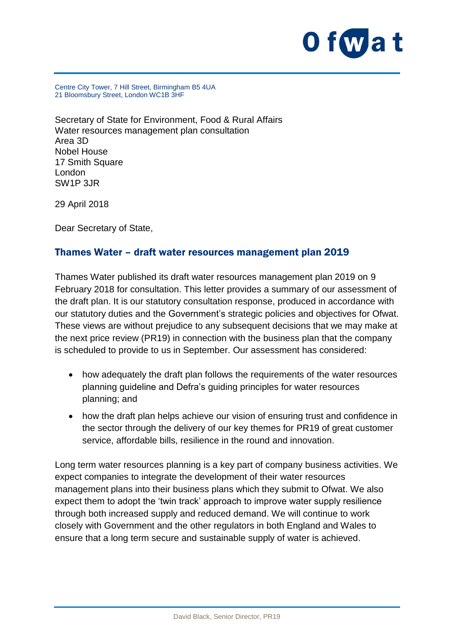

Centre City Tower, 7 Hill Street, Birmingham B5 4UA 21 Bloomsbury Street, London WC1B 3HF

Secretary of State for Environment, Food & Rural Affairs Water resources management plan consultation Area 3D Nobel House 17 Smith Square London SW1P 3JR

29 April 2018

Dear Secretary of State,

#### Thames Water – draft water resources management plan 2019

Thames Water published its draft water resources management plan 2019 on 9 February 2018 for consultation. This letter provides a summary of our assessment of the draft plan. It is our statutory consultation response, produced in accordance with our statutory duties and the Government's strategic policies and objectives for Ofwat. These views are without prejudice to any subsequent decisions that we may make at the next price review (PR19) in connection with the business plan that the company is scheduled to provide to us in September. Our assessment has considered:

- how adequately the draft plan follows the requirements of the water resources planning guideline and Defra's guiding principles for water resources planning; and
- how the draft plan helps achieve our vision of ensuring trust and confidence in the sector through the delivery of our key themes for PR19 of great customer service, affordable bills, resilience in the round and innovation.

Long term water resources planning is a key part of company business activities. We expect companies to integrate the development of their water resources management plans into their business plans which they submit to Ofwat. We also expect them to adopt the 'twin track' approach to improve water supply resilience through both increased supply and reduced demand. We will continue to work closely with Government and the other regulators in both England and Wales to ensure that a long term secure and sustainable supply of water is achieved.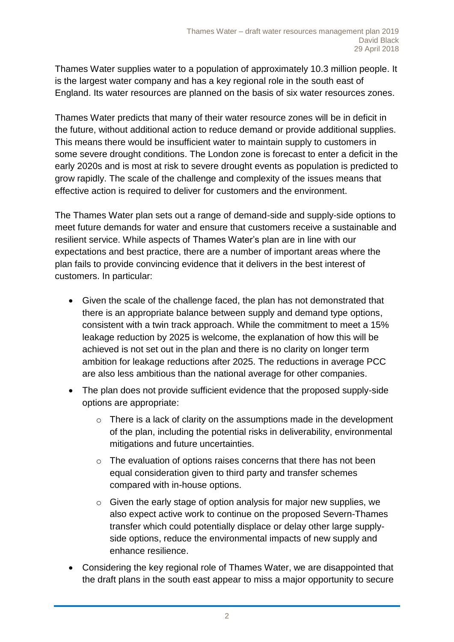Thames Water supplies water to a population of approximately 10.3 million people. It is the largest water company and has a key regional role in the south east of England. Its water resources are planned on the basis of six water resources zones.

Thames Water predicts that many of their water resource zones will be in deficit in the future, without additional action to reduce demand or provide additional supplies. This means there would be insufficient water to maintain supply to customers in some severe drought conditions. The London zone is forecast to enter a deficit in the early 2020s and is most at risk to severe drought events as population is predicted to grow rapidly. The scale of the challenge and complexity of the issues means that effective action is required to deliver for customers and the environment.

The Thames Water plan sets out a range of demand-side and supply-side options to meet future demands for water and ensure that customers receive a sustainable and resilient service. While aspects of Thames Water's plan are in line with our expectations and best practice, there are a number of important areas where the plan fails to provide convincing evidence that it delivers in the best interest of customers. In particular:

- Given the scale of the challenge faced, the plan has not demonstrated that there is an appropriate balance between supply and demand type options, consistent with a twin track approach. While the commitment to meet a 15% leakage reduction by 2025 is welcome, the explanation of how this will be achieved is not set out in the plan and there is no clarity on longer term ambition for leakage reductions after 2025. The reductions in average PCC are also less ambitious than the national average for other companies.
- The plan does not provide sufficient evidence that the proposed supply-side options are appropriate:
	- $\circ$  There is a lack of clarity on the assumptions made in the development of the plan, including the potential risks in deliverability, environmental mitigations and future uncertainties.
	- o The evaluation of options raises concerns that there has not been equal consideration given to third party and transfer schemes compared with in-house options.
	- $\circ$  Given the early stage of option analysis for major new supplies, we also expect active work to continue on the proposed Severn-Thames transfer which could potentially displace or delay other large supplyside options, reduce the environmental impacts of new supply and enhance resilience.
- Considering the key regional role of Thames Water, we are disappointed that the draft plans in the south east appear to miss a major opportunity to secure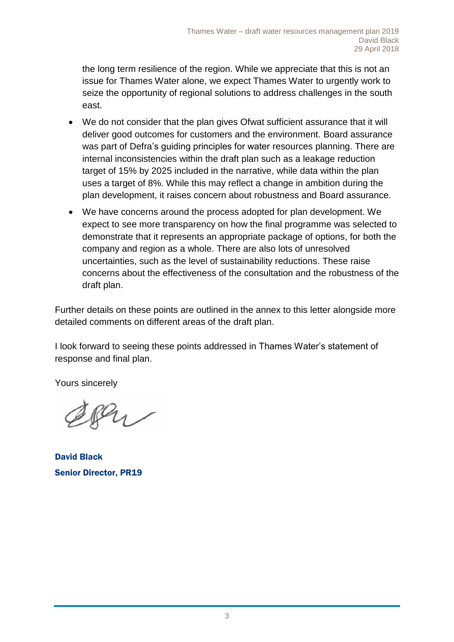the long term resilience of the region. While we appreciate that this is not an issue for Thames Water alone, we expect Thames Water to urgently work to seize the opportunity of regional solutions to address challenges in the south east.

- We do not consider that the plan gives Ofwat sufficient assurance that it will deliver good outcomes for customers and the environment. Board assurance was part of Defra's guiding principles for water resources planning. There are internal inconsistencies within the draft plan such as a leakage reduction target of 15% by 2025 included in the narrative, while data within the plan uses a target of 8%. While this may reflect a change in ambition during the plan development, it raises concern about robustness and Board assurance.
- We have concerns around the process adopted for plan development. We expect to see more transparency on how the final programme was selected to demonstrate that it represents an appropriate package of options, for both the company and region as a whole. There are also lots of unresolved uncertainties, such as the level of sustainability reductions. These raise concerns about the effectiveness of the consultation and the robustness of the draft plan.

Further details on these points are outlined in the annex to this letter alongside more detailed comments on different areas of the draft plan.

I look forward to seeing these points addressed in Thames Water's statement of response and final plan.

Yours sincerely

Pu

David Black Senior Director, PR19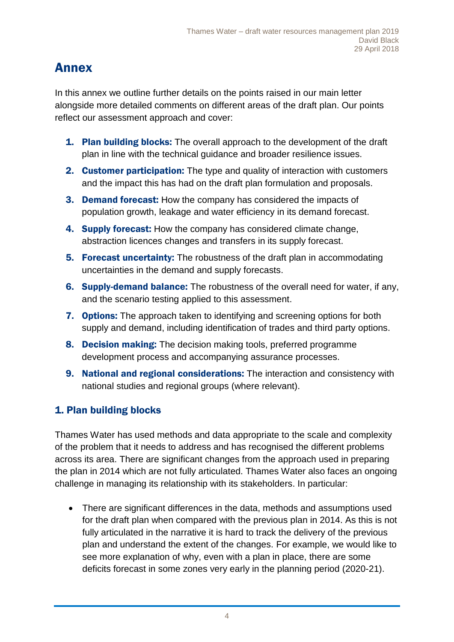# Annex

In this annex we outline further details on the points raised in our main letter alongside more detailed comments on different areas of the draft plan. Our points reflect our assessment approach and cover:

- **1. Plan building blocks:** The overall approach to the development of the draft plan in line with the technical guidance and broader resilience issues.
- 2. Customer participation: The type and quality of interaction with customers and the impact this has had on the draft plan formulation and proposals.
- 3. Demand forecast: How the company has considered the impacts of population growth, leakage and water efficiency in its demand forecast.
- 4. Supply forecast: How the company has considered climate change, abstraction licences changes and transfers in its supply forecast.
- **5. Forecast uncertainty:** The robustness of the draft plan in accommodating uncertainties in the demand and supply forecasts.
- 6. Supply-demand balance: The robustness of the overall need for water, if any, and the scenario testing applied to this assessment.
- **7. Options:** The approach taken to identifying and screening options for both supply and demand, including identification of trades and third party options.
- 8. Decision making: The decision making tools, preferred programme development process and accompanying assurance processes.
- 9. National and regional considerations: The interaction and consistency with national studies and regional groups (where relevant).

### 1. Plan building blocks

Thames Water has used methods and data appropriate to the scale and complexity of the problem that it needs to address and has recognised the different problems across its area. There are significant changes from the approach used in preparing the plan in 2014 which are not fully articulated. Thames Water also faces an ongoing challenge in managing its relationship with its stakeholders. In particular:

• There are significant differences in the data, methods and assumptions used for the draft plan when compared with the previous plan in 2014. As this is not fully articulated in the narrative it is hard to track the delivery of the previous plan and understand the extent of the changes. For example, we would like to see more explanation of why, even with a plan in place, there are some deficits forecast in some zones very early in the planning period (2020-21).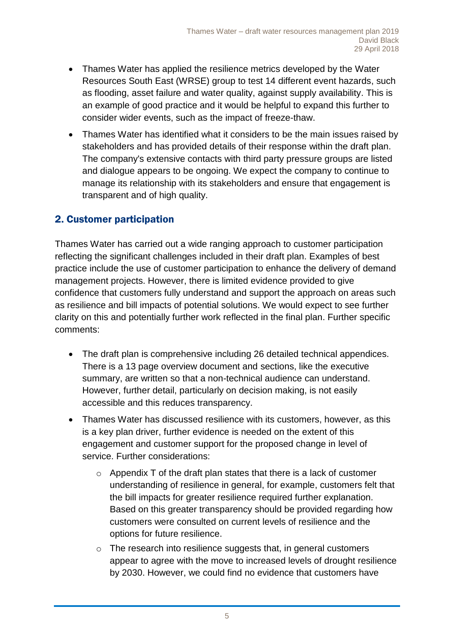- Thames Water has applied the resilience metrics developed by the Water Resources South East (WRSE) group to test 14 different event hazards, such as flooding, asset failure and water quality, against supply availability. This is an example of good practice and it would be helpful to expand this further to consider wider events, such as the impact of freeze-thaw.
- Thames Water has identified what it considers to be the main issues raised by stakeholders and has provided details of their response within the draft plan. The company's extensive contacts with third party pressure groups are listed and dialogue appears to be ongoing. We expect the company to continue to manage its relationship with its stakeholders and ensure that engagement is transparent and of high quality.

#### 2. Customer participation

Thames Water has carried out a wide ranging approach to customer participation reflecting the significant challenges included in their draft plan. Examples of best practice include the use of customer participation to enhance the delivery of demand management projects. However, there is limited evidence provided to give confidence that customers fully understand and support the approach on areas such as resilience and bill impacts of potential solutions. We would expect to see further clarity on this and potentially further work reflected in the final plan. Further specific comments:

- The draft plan is comprehensive including 26 detailed technical appendices. There is a 13 page overview document and sections, like the executive summary, are written so that a non-technical audience can understand. However, further detail, particularly on decision making, is not easily accessible and this reduces transparency.
- Thames Water has discussed resilience with its customers, however, as this is a key plan driver, further evidence is needed on the extent of this engagement and customer support for the proposed change in level of service. Further considerations:
	- $\circ$  Appendix T of the draft plan states that there is a lack of customer understanding of resilience in general, for example, customers felt that the bill impacts for greater resilience required further explanation. Based on this greater transparency should be provided regarding how customers were consulted on current levels of resilience and the options for future resilience.
	- o The research into resilience suggests that, in general customers appear to agree with the move to increased levels of drought resilience by 2030. However, we could find no evidence that customers have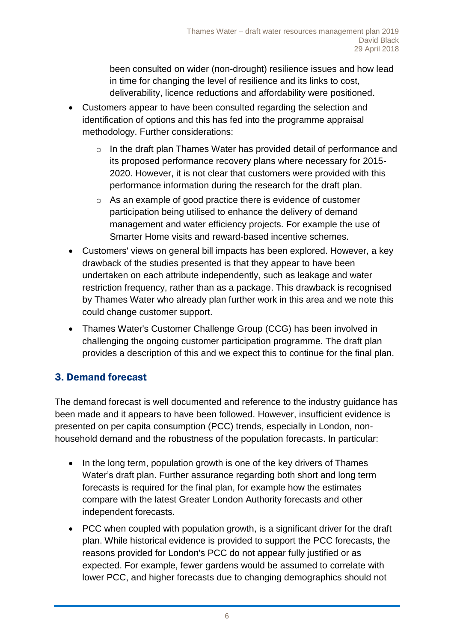been consulted on wider (non-drought) resilience issues and how lead in time for changing the level of resilience and its links to cost, deliverability, licence reductions and affordability were positioned.

- Customers appear to have been consulted regarding the selection and identification of options and this has fed into the programme appraisal methodology. Further considerations:
	- o In the draft plan Thames Water has provided detail of performance and its proposed performance recovery plans where necessary for 2015- 2020. However, it is not clear that customers were provided with this performance information during the research for the draft plan.
	- o As an example of good practice there is evidence of customer participation being utilised to enhance the delivery of demand management and water efficiency projects. For example the use of Smarter Home visits and reward-based incentive schemes.
- Customers' views on general bill impacts has been explored. However, a key drawback of the studies presented is that they appear to have been undertaken on each attribute independently, such as leakage and water restriction frequency, rather than as a package. This drawback is recognised by Thames Water who already plan further work in this area and we note this could change customer support.
- Thames Water's Customer Challenge Group (CCG) has been involved in challenging the ongoing customer participation programme. The draft plan provides a description of this and we expect this to continue for the final plan.

### 3. Demand forecast

The demand forecast is well documented and reference to the industry guidance has been made and it appears to have been followed. However, insufficient evidence is presented on per capita consumption (PCC) trends, especially in London, nonhousehold demand and the robustness of the population forecasts. In particular:

- In the long term, population growth is one of the key drivers of Thames Water's draft plan. Further assurance regarding both short and long term forecasts is required for the final plan, for example how the estimates compare with the latest Greater London Authority forecasts and other independent forecasts.
- PCC when coupled with population growth, is a significant driver for the draft plan. While historical evidence is provided to support the PCC forecasts, the reasons provided for London's PCC do not appear fully justified or as expected. For example, fewer gardens would be assumed to correlate with lower PCC, and higher forecasts due to changing demographics should not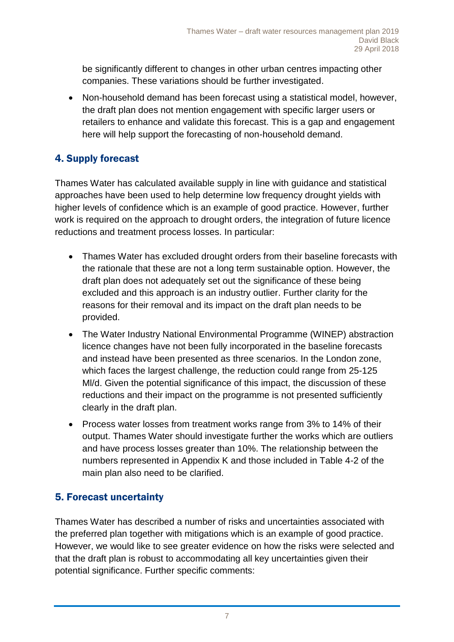be significantly different to changes in other urban centres impacting other companies. These variations should be further investigated.

• Non-household demand has been forecast using a statistical model, however, the draft plan does not mention engagement with specific larger users or retailers to enhance and validate this forecast. This is a gap and engagement here will help support the forecasting of non-household demand.

## 4. Supply forecast

Thames Water has calculated available supply in line with guidance and statistical approaches have been used to help determine low frequency drought yields with higher levels of confidence which is an example of good practice. However, further work is required on the approach to drought orders, the integration of future licence reductions and treatment process losses. In particular:

- Thames Water has excluded drought orders from their baseline forecasts with the rationale that these are not a long term sustainable option. However, the draft plan does not adequately set out the significance of these being excluded and this approach is an industry outlier. Further clarity for the reasons for their removal and its impact on the draft plan needs to be provided.
- The Water Industry National Environmental Programme (WINEP) abstraction licence changes have not been fully incorporated in the baseline forecasts and instead have been presented as three scenarios. In the London zone, which faces the largest challenge, the reduction could range from 25-125 Ml/d. Given the potential significance of this impact, the discussion of these reductions and their impact on the programme is not presented sufficiently clearly in the draft plan.
- Process water losses from treatment works range from 3% to 14% of their output. Thames Water should investigate further the works which are outliers and have process losses greater than 10%. The relationship between the numbers represented in Appendix K and those included in Table 4-2 of the main plan also need to be clarified.

### 5. Forecast uncertainty

Thames Water has described a number of risks and uncertainties associated with the preferred plan together with mitigations which is an example of good practice. However, we would like to see greater evidence on how the risks were selected and that the draft plan is robust to accommodating all key uncertainties given their potential significance. Further specific comments: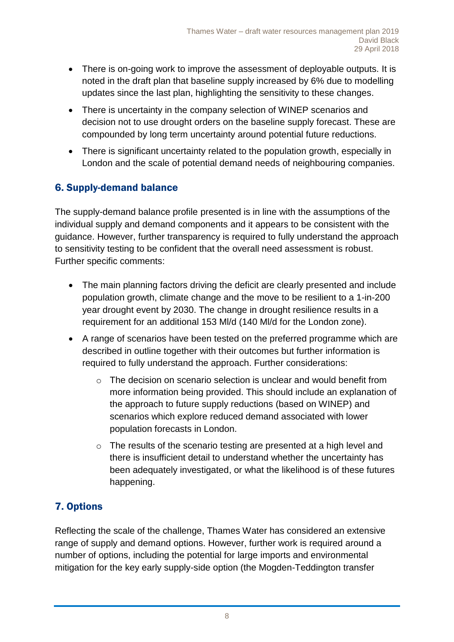- There is on-going work to improve the assessment of deployable outputs. It is noted in the draft plan that baseline supply increased by 6% due to modelling updates since the last plan, highlighting the sensitivity to these changes.
- There is uncertainty in the company selection of WINEP scenarios and decision not to use drought orders on the baseline supply forecast. These are compounded by long term uncertainty around potential future reductions.
- There is significant uncertainty related to the population growth, especially in London and the scale of potential demand needs of neighbouring companies.

### 6. Supply-demand balance

The supply-demand balance profile presented is in line with the assumptions of the individual supply and demand components and it appears to be consistent with the guidance. However, further transparency is required to fully understand the approach to sensitivity testing to be confident that the overall need assessment is robust. Further specific comments:

- The main planning factors driving the deficit are clearly presented and include population growth, climate change and the move to be resilient to a 1-in-200 year drought event by 2030. The change in drought resilience results in a requirement for an additional 153 Ml/d (140 Ml/d for the London zone).
- A range of scenarios have been tested on the preferred programme which are described in outline together with their outcomes but further information is required to fully understand the approach. Further considerations:
	- o The decision on scenario selection is unclear and would benefit from more information being provided. This should include an explanation of the approach to future supply reductions (based on WINEP) and scenarios which explore reduced demand associated with lower population forecasts in London.
	- o The results of the scenario testing are presented at a high level and there is insufficient detail to understand whether the uncertainty has been adequately investigated, or what the likelihood is of these futures happening.

# 7. Options

Reflecting the scale of the challenge, Thames Water has considered an extensive range of supply and demand options. However, further work is required around a number of options, including the potential for large imports and environmental mitigation for the key early supply-side option (the Mogden-Teddington transfer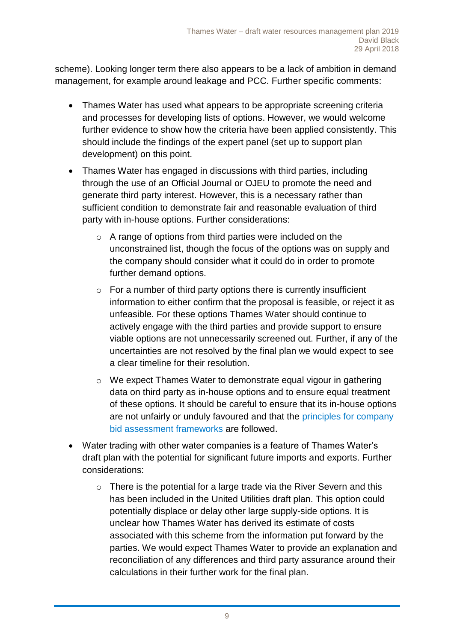scheme). Looking longer term there also appears to be a lack of ambition in demand management, for example around leakage and PCC. Further specific comments:

- Thames Water has used what appears to be appropriate screening criteria and processes for developing lists of options. However, we would welcome further evidence to show how the criteria have been applied consistently. This should include the findings of the expert panel (set up to support plan development) on this point.
- Thames Water has engaged in discussions with third parties, including through the use of an Official Journal or OJEU to promote the need and generate third party interest. However, this is a necessary rather than sufficient condition to demonstrate fair and reasonable evaluation of third party with in-house options. Further considerations:
	- o A range of options from third parties were included on the unconstrained list, though the focus of the options was on supply and the company should consider what it could do in order to promote further demand options.
	- $\circ$  For a number of third party options there is currently insufficient information to either confirm that the proposal is feasible, or reject it as unfeasible. For these options Thames Water should continue to actively engage with the third parties and provide support to ensure viable options are not unnecessarily screened out. Further, if any of the uncertainties are not resolved by the final plan we would expect to see a clear timeline for their resolution.
	- o We expect Thames Water to demonstrate equal vigour in gathering data on third party as in-house options and to ensure equal treatment of these options. It should be careful to ensure that its in-house options are not unfairly or unduly favoured and that the [principles for company](https://www.ofwat.gov.uk/publication/delivering-water-2020-final-methodology-2019-price-review-appendix-8-company-bid-assessment-framework-principles/)  [bid assessment frameworks](https://www.ofwat.gov.uk/publication/delivering-water-2020-final-methodology-2019-price-review-appendix-8-company-bid-assessment-framework-principles/) are followed.
- Water trading with other water companies is a feature of Thames Water's draft plan with the potential for significant future imports and exports. Further considerations:
	- o There is the potential for a large trade via the River Severn and this has been included in the United Utilities draft plan. This option could potentially displace or delay other large supply-side options. It is unclear how Thames Water has derived its estimate of costs associated with this scheme from the information put forward by the parties. We would expect Thames Water to provide an explanation and reconciliation of any differences and third party assurance around their calculations in their further work for the final plan.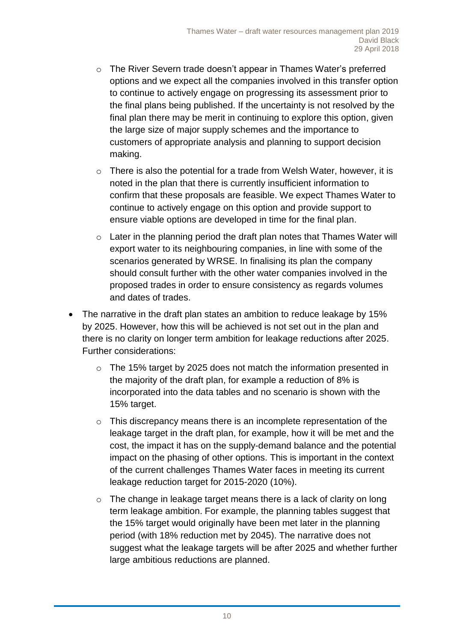- o The River Severn trade doesn't appear in Thames Water's preferred options and we expect all the companies involved in this transfer option to continue to actively engage on progressing its assessment prior to the final plans being published. If the uncertainty is not resolved by the final plan there may be merit in continuing to explore this option, given the large size of major supply schemes and the importance to customers of appropriate analysis and planning to support decision making.
- o There is also the potential for a trade from Welsh Water, however, it is noted in the plan that there is currently insufficient information to confirm that these proposals are feasible. We expect Thames Water to continue to actively engage on this option and provide support to ensure viable options are developed in time for the final plan.
- $\circ$  Later in the planning period the draft plan notes that Thames Water will export water to its neighbouring companies, in line with some of the scenarios generated by WRSE. In finalising its plan the company should consult further with the other water companies involved in the proposed trades in order to ensure consistency as regards volumes and dates of trades.
- The narrative in the draft plan states an ambition to reduce leakage by 15% by 2025. However, how this will be achieved is not set out in the plan and there is no clarity on longer term ambition for leakage reductions after 2025. Further considerations:
	- $\circ$  The 15% target by 2025 does not match the information presented in the majority of the draft plan, for example a reduction of 8% is incorporated into the data tables and no scenario is shown with the 15% target.
	- o This discrepancy means there is an incomplete representation of the leakage target in the draft plan, for example, how it will be met and the cost, the impact it has on the supply-demand balance and the potential impact on the phasing of other options. This is important in the context of the current challenges Thames Water faces in meeting its current leakage reduction target for 2015-2020 (10%).
	- o The change in leakage target means there is a lack of clarity on long term leakage ambition. For example, the planning tables suggest that the 15% target would originally have been met later in the planning period (with 18% reduction met by 2045). The narrative does not suggest what the leakage targets will be after 2025 and whether further large ambitious reductions are planned.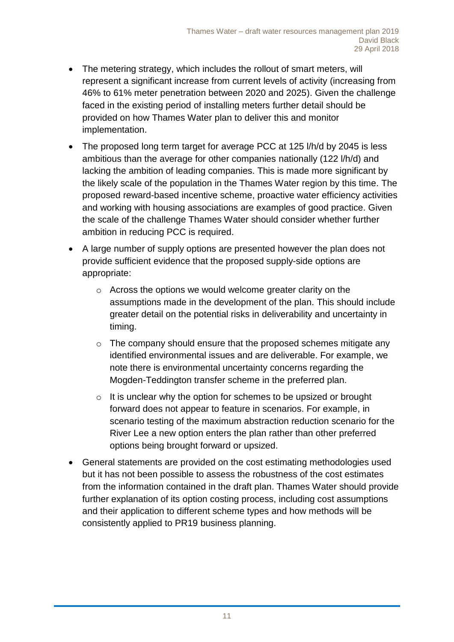- The metering strategy, which includes the rollout of smart meters, will represent a significant increase from current levels of activity (increasing from 46% to 61% meter penetration between 2020 and 2025). Given the challenge faced in the existing period of installing meters further detail should be provided on how Thames Water plan to deliver this and monitor implementation.
- The proposed long term target for average PCC at 125 l/h/d by 2045 is less ambitious than the average for other companies nationally (122 l/h/d) and lacking the ambition of leading companies. This is made more significant by the likely scale of the population in the Thames Water region by this time. The proposed reward-based incentive scheme, proactive water efficiency activities and working with housing associations are examples of good practice. Given the scale of the challenge Thames Water should consider whether further ambition in reducing PCC is required.
- A large number of supply options are presented however the plan does not provide sufficient evidence that the proposed supply-side options are appropriate:
	- o Across the options we would welcome greater clarity on the assumptions made in the development of the plan. This should include greater detail on the potential risks in deliverability and uncertainty in timing.
	- o The company should ensure that the proposed schemes mitigate any identified environmental issues and are deliverable. For example, we note there is environmental uncertainty concerns regarding the Mogden-Teddington transfer scheme in the preferred plan.
	- o It is unclear why the option for schemes to be upsized or brought forward does not appear to feature in scenarios. For example, in scenario testing of the maximum abstraction reduction scenario for the River Lee a new option enters the plan rather than other preferred options being brought forward or upsized.
- General statements are provided on the cost estimating methodologies used but it has not been possible to assess the robustness of the cost estimates from the information contained in the draft plan. Thames Water should provide further explanation of its option costing process, including cost assumptions and their application to different scheme types and how methods will be consistently applied to PR19 business planning.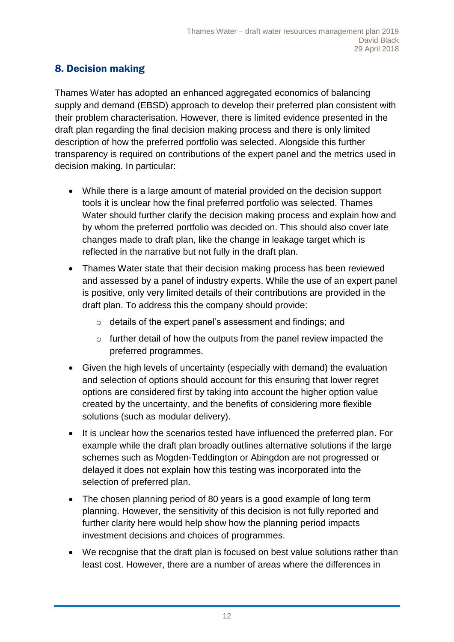### 8. Decision making

Thames Water has adopted an enhanced aggregated economics of balancing supply and demand (EBSD) approach to develop their preferred plan consistent with their problem characterisation. However, there is limited evidence presented in the draft plan regarding the final decision making process and there is only limited description of how the preferred portfolio was selected. Alongside this further transparency is required on contributions of the expert panel and the metrics used in decision making. In particular:

- While there is a large amount of material provided on the decision support tools it is unclear how the final preferred portfolio was selected. Thames Water should further clarify the decision making process and explain how and by whom the preferred portfolio was decided on. This should also cover late changes made to draft plan, like the change in leakage target which is reflected in the narrative but not fully in the draft plan.
- Thames Water state that their decision making process has been reviewed and assessed by a panel of industry experts. While the use of an expert panel is positive, only very limited details of their contributions are provided in the draft plan. To address this the company should provide:
	- o details of the expert panel's assessment and findings; and
	- o further detail of how the outputs from the panel review impacted the preferred programmes.
- Given the high levels of uncertainty (especially with demand) the evaluation and selection of options should account for this ensuring that lower regret options are considered first by taking into account the higher option value created by the uncertainty, and the benefits of considering more flexible solutions (such as modular delivery).
- It is unclear how the scenarios tested have influenced the preferred plan. For example while the draft plan broadly outlines alternative solutions if the large schemes such as Mogden-Teddington or Abingdon are not progressed or delayed it does not explain how this testing was incorporated into the selection of preferred plan.
- The chosen planning period of 80 years is a good example of long term planning. However, the sensitivity of this decision is not fully reported and further clarity here would help show how the planning period impacts investment decisions and choices of programmes.
- We recognise that the draft plan is focused on best value solutions rather than least cost. However, there are a number of areas where the differences in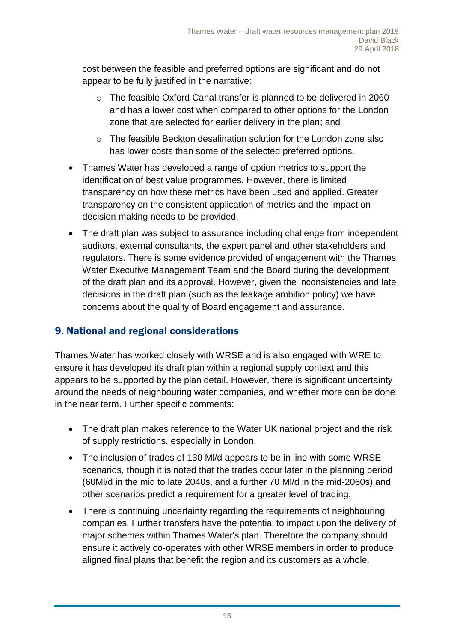cost between the feasible and preferred options are significant and do not appear to be fully justified in the narrative:

- o The feasible Oxford Canal transfer is planned to be delivered in 2060 and has a lower cost when compared to other options for the London zone that are selected for earlier delivery in the plan; and
- o The feasible Beckton desalination solution for the London zone also has lower costs than some of the selected preferred options.
- Thames Water has developed a range of option metrics to support the identification of best value programmes. However, there is limited transparency on how these metrics have been used and applied. Greater transparency on the consistent application of metrics and the impact on decision making needs to be provided.
- The draft plan was subject to assurance including challenge from independent auditors, external consultants, the expert panel and other stakeholders and regulators. There is some evidence provided of engagement with the Thames Water Executive Management Team and the Board during the development of the draft plan and its approval. However, given the inconsistencies and late decisions in the draft plan (such as the leakage ambition policy) we have concerns about the quality of Board engagement and assurance.

#### 9. National and regional considerations

Thames Water has worked closely with WRSE and is also engaged with WRE to ensure it has developed its draft plan within a regional supply context and this appears to be supported by the plan detail. However, there is significant uncertainty around the needs of neighbouring water companies, and whether more can be done in the near term. Further specific comments:

- The draft plan makes reference to the Water UK national project and the risk of supply restrictions, especially in London.
- The inclusion of trades of 130 MI/d appears to be in line with some WRSE scenarios, though it is noted that the trades occur later in the planning period (60Ml/d in the mid to late 2040s, and a further 70 Ml/d in the mid-2060s) and other scenarios predict a requirement for a greater level of trading.
- There is continuing uncertainty regarding the requirements of neighbouring companies. Further transfers have the potential to impact upon the delivery of major schemes within Thames Water's plan. Therefore the company should ensure it actively co-operates with other WRSE members in order to produce aligned final plans that benefit the region and its customers as a whole.